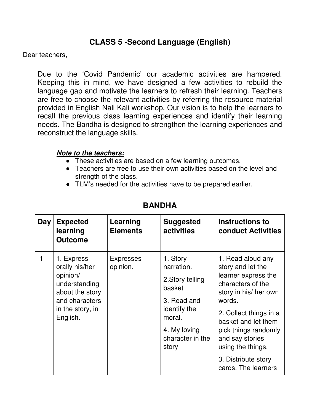## **CLASS 5 -Second Language (English)**

Dear teachers,

Due to the 'Covid Pandemic' our academic activities are hampered. Keeping this in mind, we have designed a few activities to rebuild the language gap and motivate the learners to refresh their learning. Teachers are free to choose the relevant activities by referring the resource material provided in English Nali Kali workshop. Our vision is to help the learners to recall the previous class learning experiences and identify their learning needs. The Bandha is designed to strengthen the learning experiences and reconstruct the language skills.

## **Note to the teachers:**

- These activities are based on a few learning outcomes.
- Teachers are free to use their own activities based on the level and strength of the class.
- TLM's needed for the activities have to be prepared earlier.

| Day | <b>Expected</b><br>learning<br><b>Outcome</b>                                                                                  | Learning<br><b>Elements</b>  | <b>Suggested</b><br><b>activities</b>                                                                                                      | Instructions to<br><b>conduct Activities</b>                                                                                                                                                                                           |
|-----|--------------------------------------------------------------------------------------------------------------------------------|------------------------------|--------------------------------------------------------------------------------------------------------------------------------------------|----------------------------------------------------------------------------------------------------------------------------------------------------------------------------------------------------------------------------------------|
| 1   | 1. Express<br>orally his/her<br>opinion/<br>understanding<br>about the story<br>and characters<br>in the story, in<br>English. | <b>Expresses</b><br>opinion. | 1. Story<br>narration.<br>2. Story telling<br>basket<br>3. Read and<br>identify the<br>moral.<br>4. My loving<br>character in the<br>story | 1. Read aloud any<br>story and let the<br>learner express the<br>characters of the<br>story in his/ her own<br>words.<br>2. Collect things in a<br>basket and let them<br>pick things randomly<br>and say stories<br>using the things. |
|     |                                                                                                                                |                              |                                                                                                                                            | 3. Distribute story<br>cards. The learners                                                                                                                                                                                             |

## **BANDHA**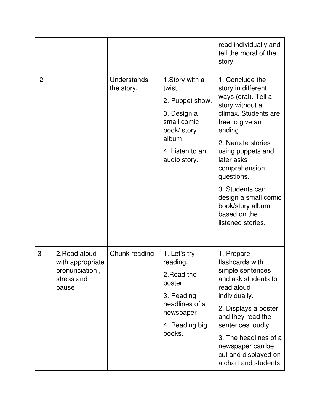|                |                                                                            |                                  |                                                                                                                                      | read individually and<br>tell the moral of the<br>story.                                                                                                                                                                                                                                                                          |
|----------------|----------------------------------------------------------------------------|----------------------------------|--------------------------------------------------------------------------------------------------------------------------------------|-----------------------------------------------------------------------------------------------------------------------------------------------------------------------------------------------------------------------------------------------------------------------------------------------------------------------------------|
| $\overline{2}$ |                                                                            | <b>Understands</b><br>the story. | 1. Story with a<br>twist<br>2. Puppet show.<br>3. Design a<br>small comic<br>book/ story<br>album<br>4. Listen to an<br>audio story. | 1. Conclude the<br>story in different<br>ways (oral). Tell a<br>story without a<br>climax. Students are<br>free to give an<br>ending.<br>2. Narrate stories<br>using puppets and<br>later asks<br>comprehension<br>questions.<br>3. Students can<br>design a small comic<br>book/story album<br>based on the<br>listened stories. |
| 3              | 2. Read aloud<br>with appropriate<br>pronunciation,<br>stress and<br>pause | Chunk reading                    | 1. Let's try<br>reading.<br>2. Read the<br>poster<br>3. Reading<br>headlines of a<br>newspaper<br>4. Reading big<br>books.           | 1. Prepare<br>flashcards with<br>simple sentences<br>and ask students to<br>read aloud<br>individually.<br>2. Displays a poster<br>and they read the<br>sentences loudly.<br>3. The headlines of a<br>newspaper can be<br>cut and displayed on<br>a chart and students                                                            |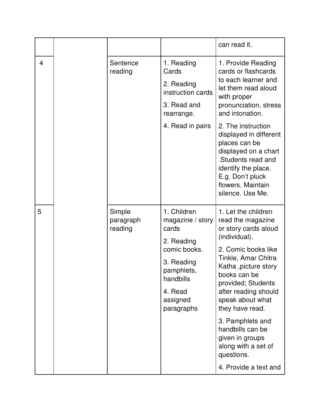|   |  |                                |                                                                                                                                                      | can read it.                                                                                                                                                                                                                                                                     |
|---|--|--------------------------------|------------------------------------------------------------------------------------------------------------------------------------------------------|----------------------------------------------------------------------------------------------------------------------------------------------------------------------------------------------------------------------------------------------------------------------------------|
| 4 |  | Sentence<br>reading            | 1. Reading<br>Cards<br>2. Reading<br>instruction cards<br>3. Read and<br>rearrange.                                                                  | 1. Provide Reading<br>cards or flashcards<br>to each learner and<br>let them read aloud<br>with proper<br>pronunciation, stress<br>and intonation.                                                                                                                               |
|   |  |                                | 4. Read in pairs                                                                                                                                     | 2. The instruction<br>displayed in different<br>places can be<br>displayed on a chart<br>.Students read and<br>identify the place.<br>E.g. Don't pluck<br>flowers. Maintain<br>silence. Use Me.                                                                                  |
| 5 |  | Simple<br>paragraph<br>reading | 1. Children<br>magazine / story<br>cards<br>2. Reading<br>comic books.<br>3. Reading<br>pamphlets,<br>handbills<br>4. Read<br>assigned<br>paragraphs | 1. Let the children<br>read the magazine<br>or story cards aloud<br>(individual).<br>2. Comic books like<br>Tinkle, Amar Chitra<br>Katha ,picture story<br>books can be<br>provided; Students<br>after reading should<br>speak about what<br>they have read.<br>3. Pamphlets and |
|   |  |                                |                                                                                                                                                      | handbills can be<br>given in groups<br>along with a set of<br>questions.<br>4. Provide a text and                                                                                                                                                                                |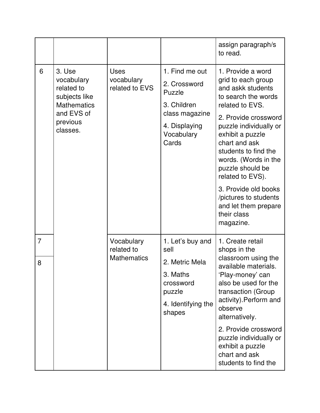|                     |                                                                                                                 |                                                |                                                                                                                   | assign paragraph/s<br>to read.                                                                                                                                                                                                                                                                                                                                                             |
|---------------------|-----------------------------------------------------------------------------------------------------------------|------------------------------------------------|-------------------------------------------------------------------------------------------------------------------|--------------------------------------------------------------------------------------------------------------------------------------------------------------------------------------------------------------------------------------------------------------------------------------------------------------------------------------------------------------------------------------------|
| 6                   | 3. Use<br>vocabulary<br>related to<br>subjects like<br><b>Mathematics</b><br>and EVS of<br>previous<br>classes. | <b>Uses</b><br>vocabulary<br>related to EVS    | 1. Find me out<br>2. Crossword<br>Puzzle<br>3. Children<br>class magazine<br>4. Displaying<br>Vocabulary<br>Cards | 1. Provide a word<br>grid to each group<br>and askk students<br>to search the words<br>related to EVS.<br>2. Provide crossword<br>puzzle individually or<br>exhibit a puzzle<br>chart and ask<br>students to find the<br>words. (Words in the<br>puzzle should be<br>related to EVS).<br>3. Provide old books<br>/pictures to students<br>and let them prepare<br>their class<br>magazine. |
| $\overline{7}$<br>8 |                                                                                                                 | Vocabulary<br>related to<br><b>Mathematics</b> | 1. Let's buy and<br>sell<br>2. Metric Mela<br>3. Maths<br>crossword<br>puzzle<br>4. Identifying the<br>shapes     | 1. Create retail<br>shops in the<br>classroom using the<br>available materials.<br>'Play-money' can<br>also be used for the<br>transaction (Group<br>activity). Perform and<br>observe<br>alternatively.<br>2. Provide crossword<br>puzzle individually or<br>exhibit a puzzle<br>chart and ask<br>students to find the                                                                    |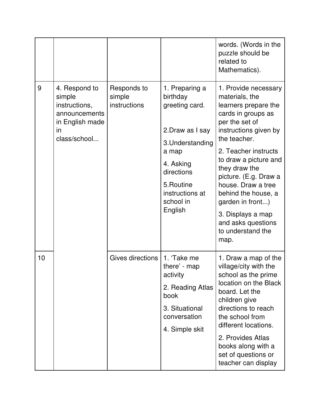|    |                                                                                                    |                                       |                                                                                                                                                                                   | words. (Words in the<br>puzzle should be<br>related to<br>Mathematics).                                                                                                                                                                                                                                                                                                             |
|----|----------------------------------------------------------------------------------------------------|---------------------------------------|-----------------------------------------------------------------------------------------------------------------------------------------------------------------------------------|-------------------------------------------------------------------------------------------------------------------------------------------------------------------------------------------------------------------------------------------------------------------------------------------------------------------------------------------------------------------------------------|
| 9  | 4. Respond to<br>simple<br>instructions,<br>announcements<br>in English made<br>in<br>class/school | Responds to<br>simple<br>instructions | 1. Preparing a<br>birthday<br>greeting card.<br>2. Draw as I say<br>3. Understanding<br>a map<br>4. Asking<br>directions<br>5. Routine<br>instructions at<br>school in<br>English | 1. Provide necessary<br>materials, the<br>learners prepare the<br>cards in groups as<br>per the set of<br>instructions given by<br>the teacher.<br>2. Teacher instructs<br>to draw a picture and<br>they draw the<br>picture. (E.g. Draw a<br>house. Draw a tree<br>behind the house, a<br>garden in front)<br>3. Displays a map<br>and asks questions<br>to understand the<br>map. |
| 10 |                                                                                                    | Gives directions                      | 1. 'Take me<br>there' - map<br>activity<br>2. Reading Atlas<br>book<br>3. Situational<br>conversation<br>4. Simple skit                                                           | 1. Draw a map of the<br>village/city with the<br>school as the prime<br>location on the Black<br>board. Let the<br>children give<br>directions to reach<br>the school from<br>different locations.<br>2. Provides Atlas<br>books along with a<br>set of questions or<br>teacher can display                                                                                         |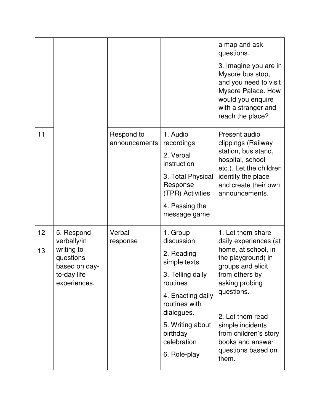|          |                                                                                                      |                             |                                                                                                                                                                                                         | a map and ask<br>questions.<br>3. Imagine you are in<br>Mysore bus stop,<br>and you need to visit<br>Mysore Palace. How<br>would you enquire<br>with a stranger and<br>reach the place?                                                                                            |
|----------|------------------------------------------------------------------------------------------------------|-----------------------------|---------------------------------------------------------------------------------------------------------------------------------------------------------------------------------------------------------|------------------------------------------------------------------------------------------------------------------------------------------------------------------------------------------------------------------------------------------------------------------------------------|
| 11       |                                                                                                      | Respond to<br>announcements | 1. Audio<br>recordings<br>2. Verbal<br>instruction<br>3. Total Physical<br>Response<br>(TPR) Activities<br>4. Passing the<br>message game                                                               | Present audio<br>clippings (Railway<br>station, bus stand,<br>hospital, school<br>etc.). Let the children<br>identify the place<br>and create their own<br>announcements.                                                                                                          |
| 12<br>13 | 5. Respond<br>verbally/in<br>writing to<br>questions<br>based on day-<br>to-day life<br>experiences. | Verbal<br>response          | 1. Group<br>discussion<br>2. Reading<br>simple texts<br>3. Telling daily<br>routines<br>4. Enacting daily<br>routines with<br>dialogues.<br>5. Writing about<br>birthday<br>celebration<br>6. Role-play | 1. Let them share<br>daily experiences (at<br>home, at school, in<br>the playground) in<br>groups and elicit<br>from others by<br>asking probing<br>questions.<br>2. Let them read<br>simple incidents<br>from children's story<br>books and answer<br>questions based on<br>them. |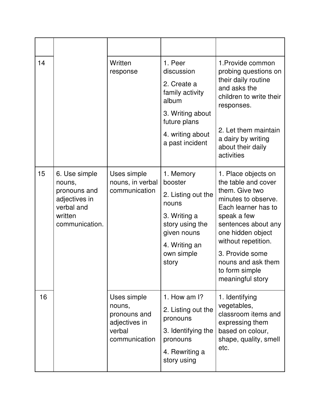| 14 |                                                                                                     | Written<br>response                                                               | 1. Peer<br>discussion<br>2. Create a<br>family activity<br>album<br>3. Writing about<br>future plans<br>4. writing about<br>a past incident   | 1. Provide common<br>probing questions on<br>their daily routine<br>and asks the<br>children to write their<br>responses.<br>2. Let them maintain<br>a dairy by writing<br>about their daily<br>activities                                                                  |
|----|-----------------------------------------------------------------------------------------------------|-----------------------------------------------------------------------------------|-----------------------------------------------------------------------------------------------------------------------------------------------|-----------------------------------------------------------------------------------------------------------------------------------------------------------------------------------------------------------------------------------------------------------------------------|
| 15 | 6. Use simple<br>nouns,<br>pronouns and<br>adjectives in<br>verbal and<br>written<br>communication. | Uses simple<br>nouns, in verbal<br>communication                                  | 1. Memory<br>booster<br>2. Listing out the<br>nouns<br>3. Writing a<br>story using the<br>given nouns<br>4. Writing an<br>own simple<br>story | 1. Place objects on<br>the table and cover<br>them. Give two<br>minutes to observe.<br>Each learner has to<br>speak a few<br>sentences about any<br>one hidden object<br>without repetition.<br>3. Provide some<br>nouns and ask them<br>to form simple<br>meaningful story |
| 16 |                                                                                                     | Uses simple<br>nouns,<br>pronouns and<br>adjectives in<br>verbal<br>communication | 1. How am I?<br>2. Listing out the<br>pronouns<br>3. Identifying the<br>pronouns<br>4. Rewriting a<br>story using                             | 1. Identifying<br>vegetables,<br>classroom items and<br>expressing them<br>based on colour,<br>shape, quality, smell<br>etc.                                                                                                                                                |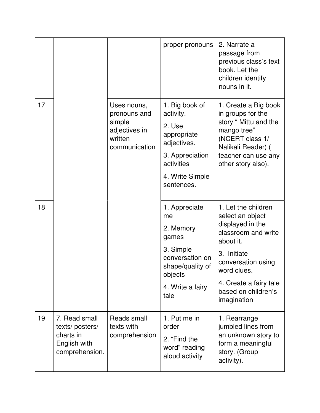|    |                                                                                |                                                                                    | proper pronouns                                                                                                                       | 2. Narrate a<br>passage from<br>previous class's text<br>book. Let the<br>children identify<br>nouns in it.                                                                                                         |
|----|--------------------------------------------------------------------------------|------------------------------------------------------------------------------------|---------------------------------------------------------------------------------------------------------------------------------------|---------------------------------------------------------------------------------------------------------------------------------------------------------------------------------------------------------------------|
| 17 |                                                                                | Uses nouns,<br>pronouns and<br>simple<br>adjectives in<br>written<br>communication | 1. Big book of<br>activity.<br>2. Use<br>appropriate<br>adjectives.<br>3. Appreciation<br>activities<br>4. Write Simple<br>sentences. | 1. Create a Big book<br>in groups for the<br>story " Mittu and the<br>mango tree"<br>(NCERT class 1/<br>Nalikali Reader) (<br>teacher can use any<br>other story also).                                             |
| 18 |                                                                                |                                                                                    | 1. Appreciate<br>me<br>2. Memory<br>games<br>3. Simple<br>conversation on<br>shape/quality of<br>objects<br>4. Write a fairy<br>tale  | 1. Let the children<br>select an object<br>displayed in the<br>classroom and write<br>about it.<br>3. Initiate<br>conversation using<br>word clues.<br>4. Create a fairy tale<br>based on children's<br>imagination |
| 19 | 7. Read small<br>texts/posters/<br>charts in<br>English with<br>comprehension. | Reads small<br>texts with<br>comprehension                                         | 1. Put me in<br>order<br>2. "Find the<br>word" reading<br>aloud activity                                                              | 1. Rearrange<br>jumbled lines from<br>an unknown story to<br>form a meaningful<br>story. (Group<br>activity).                                                                                                       |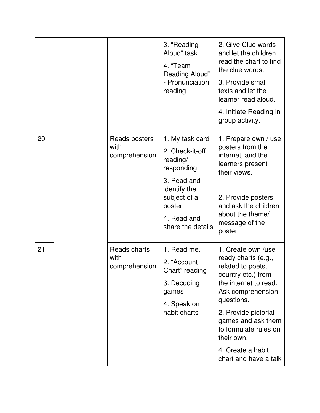|    |  |                                        | 3. "Reading<br>Aloud" task<br>4. "Team<br>Reading Aloud"<br>- Pronunciation<br>reading                                                                    | 2. Give Clue words<br>and let the children<br>read the chart to find<br>the clue words.<br>3. Provide small<br>texts and let the<br>learner read aloud.<br>4. Initiate Reading in<br>group activity.                                                                                |
|----|--|----------------------------------------|-----------------------------------------------------------------------------------------------------------------------------------------------------------|-------------------------------------------------------------------------------------------------------------------------------------------------------------------------------------------------------------------------------------------------------------------------------------|
| 20 |  | Reads posters<br>with<br>comprehension | 1. My task card<br>2. Check-it-off<br>reading/<br>responding<br>3. Read and<br>identify the<br>subject of a<br>poster<br>4. Read and<br>share the details | 1. Prepare own / use<br>posters from the<br>internet, and the<br>learners present<br>their views.<br>2. Provide posters<br>and ask the children<br>about the theme/<br>message of the<br>poster                                                                                     |
| 21 |  | Reads charts<br>with<br>comprehension  | 1. Read me.<br>2. "Account<br>Chart" reading<br>3. Decoding<br>games<br>4. Speak on<br>habit charts                                                       | 1. Create own /use<br>ready charts (e.g.,<br>related to poets,<br>country etc.) from<br>the internet to read.<br>Ask comprehension<br>questions.<br>2. Provide pictorial<br>games and ask them<br>to formulate rules on<br>their own.<br>4. Create a habit<br>chart and have a talk |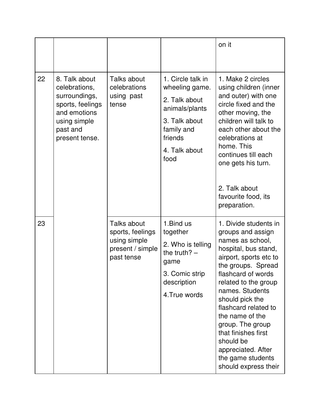|    |                                                                                                                                   |                                                                                   |                                                                                                                                           | on it                                                                                                                                                                                                                                                                                                                                                                                            |
|----|-----------------------------------------------------------------------------------------------------------------------------------|-----------------------------------------------------------------------------------|-------------------------------------------------------------------------------------------------------------------------------------------|--------------------------------------------------------------------------------------------------------------------------------------------------------------------------------------------------------------------------------------------------------------------------------------------------------------------------------------------------------------------------------------------------|
| 22 | 8. Talk about<br>celebrations,<br>surroundings,<br>sports, feelings<br>and emotions<br>using simple<br>past and<br>present tense. | Talks about<br>celebrations<br>using past<br>tense                                | 1. Circle talk in<br>wheeling game.<br>2. Talk about<br>animals/plants<br>3. Talk about<br>family and<br>friends<br>4. Talk about<br>food | 1. Make 2 circles<br>using children (inner<br>and outer) with one<br>circle fixed and the<br>other moving, the<br>children will talk to<br>each other about the<br>celebrations at<br>home. This<br>continues till each<br>one gets his turn.<br>2. Talk about                                                                                                                                   |
|    |                                                                                                                                   |                                                                                   |                                                                                                                                           | favourite food, its<br>preparation.                                                                                                                                                                                                                                                                                                                                                              |
| 23 |                                                                                                                                   | Talks about<br>sports, feelings<br>using simple<br>present / simple<br>past tense | 1. Bind us<br>together<br>2. Who is telling<br>the truth? $-$<br>game<br>3. Comic strip<br>description<br>4. True words                   | 1. Divide students in<br>groups and assign<br>names as school,<br>hospital, bus stand,<br>airport, sports etc to<br>the groups. Spread<br>flashcard of words<br>related to the group<br>names. Students<br>should pick the<br>flashcard related to<br>the name of the<br>group. The group<br>that finishes first<br>should be<br>appreciated. After<br>the game students<br>should express their |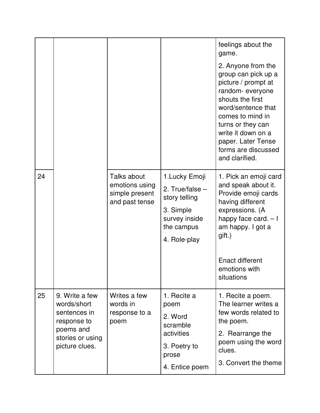|    |                                                                                                                 |                                                                   |                                                                                                                  | feelings about the<br>game.<br>2. Anyone from the<br>group can pick up a<br>picture / prompt at<br>random-everyone<br>shouts the first<br>word/sentence that<br>comes to mind in<br>turns or they can<br>write it down on a<br>paper. Later Tense<br>forms are discussed<br>and clarified. |
|----|-----------------------------------------------------------------------------------------------------------------|-------------------------------------------------------------------|------------------------------------------------------------------------------------------------------------------|--------------------------------------------------------------------------------------------------------------------------------------------------------------------------------------------------------------------------------------------------------------------------------------------|
| 24 |                                                                                                                 | Talks about<br>emotions using<br>simple present<br>and past tense | 1. Lucky Emoji<br>2. True/false $-$<br>story telling<br>3. Simple<br>survey inside<br>the campus<br>4. Role-play | 1. Pick an emoji card<br>and speak about it.<br>Provide emoji cards<br>having different<br>expressions. (A<br>happy face card. $-1$<br>am happy. I got a<br>gift.)<br><b>Enact different</b><br>emotions with<br>situations                                                                |
| 25 | 9. Write a few<br>words/short<br>sentences in<br>response to<br>poems and<br>stories or using<br>picture clues. | Writes a few<br>words in<br>response to a<br>poem                 | 1. Recite a<br>poem<br>2. Word<br>scramble<br>activities<br>3. Poetry to<br>prose<br>4. Entice poem              | 1. Recite a poem.<br>The learner writes a<br>few words related to<br>the poem.<br>2. Rearrange the<br>poem using the word<br>clues.<br>3. Convert the theme                                                                                                                                |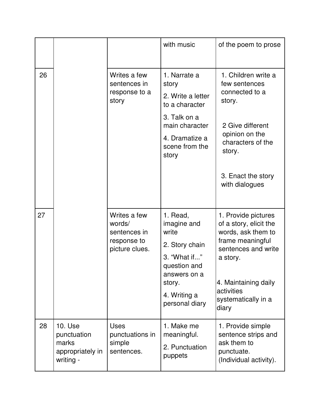|    |                                                                         |                                                                         | with music                                                                                                                                     | of the poem to prose                                                                                                                                                                             |
|----|-------------------------------------------------------------------------|-------------------------------------------------------------------------|------------------------------------------------------------------------------------------------------------------------------------------------|--------------------------------------------------------------------------------------------------------------------------------------------------------------------------------------------------|
| 26 |                                                                         | Writes a few<br>sentences in<br>response to a<br>story                  | 1. Narrate a<br>story<br>2. Write a letter<br>to a character<br>3. Talk on a<br>main character<br>4. Dramatize a<br>scene from the<br>story    | 1. Children write a<br>few sentences<br>connected to a<br>story.<br>2 Give different<br>opinion on the<br>characters of the<br>story.<br>3. Enact the story<br>with dialogues                    |
| 27 |                                                                         | Writes a few<br>words/<br>sentences in<br>response to<br>picture clues. | 1. Read,<br>imagine and<br>write<br>2. Story chain<br>3. "What if"<br>question and<br>answers on a<br>story.<br>4. Writing a<br>personal diary | 1. Provide pictures<br>of a story, elicit the<br>words, ask them to<br>frame meaningful<br>sentences and write<br>a story.<br>4. Maintaining daily<br>activities<br>systematically in a<br>diary |
| 28 | <b>10. Use</b><br>punctuation<br>marks<br>appropriately in<br>writing - | <b>Uses</b><br>punctuations in<br>simple<br>sentences.                  | 1. Make me<br>meaningful.<br>2. Punctuation<br>puppets                                                                                         | 1. Provide simple<br>sentence strips and<br>ask them to<br>punctuate.<br>(Individual activity).                                                                                                  |